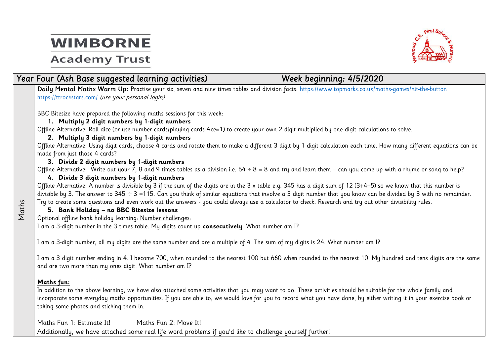### **Academy Trust**



#### *Year Four (Ash Base suggested learning activities) Week beginning: 4/5/2020*

**Daily Mental Maths Warm Up**: Practise your six, seven and nine times tables and division facts:<https://www.topmarks.co.uk/maths-games/hit-the-button> <https://ttrockstars.com/> (use your personal login)

BBC Bitesize have prepared the following maths sessions for this week:

#### **1. Multiply 2 digit numbers by 1-digit numbers**

Offline Alternative: Roll dice (or use number cards/playing cards-Ace=1) to create your own 2 digit multiplied by one digit calculations to solve.

#### **2. Multiply 3 digit numbers by 1-digit numbers**

Offline Alternative: Using digit cards, choose 4 cards and rotate them to make a different 3 digit by 1 digit calculation each time. How many different equations can be made from just those 4 cards?

#### **3. Divide 2 digit numbers by 1-digit numbers**

Offline Alternative: Write out your  $\overline{7}$ , 8 and 9 times tables as a division i.e. 64 ÷ 8 = 8 and try and learn them – can you come up with a rhyme or song to help?

#### **4. Divide 3 digit numbers by 1-digit numbers**

Offline Alternative: A number is divisible by 3 if the sum of the digits are in the 3 x table e.g. 345 has a digit sum of 12 (3+4+5) so we know that this number is divisible by 3. The answer to  $345 \div 3 = 115$ . Can you think of similar equations that involve a 3 digit number that you know can be divided by 3 with no remainder. Try to create some questions and even work out the answers - you could always use a calculator to check. Research and try out other divisibility rules.

#### **5. Bank Holiday – no BBC Bitesize lessons**

Optional offline bank holiday learning: Number challenges:

I am a 3-digit number in the 3 times table. My digits count up **consecutively**. What number am I?

I am a 3-digit number, all my digits are the same number and are a multiple of 4. The sum of my digits is 24. What number am I?

I am a 3 digit number ending in 4. I become 700, when rounded to the nearest 100 but 660 when rounded to the nearest 10. My hundred and tens digits are the same and are two more than my ones digit. What number am I?

#### **Maths fun:**

Maths

In addition to the above learning, we have also attached some activities that you may want to do. These activities should be suitable for the whole family and incorporate some everyday maths opportunities. If you are able to, we would love for you to record what you have done, by either writing it in your exercise book or taking some photos and sticking them in.

Maths Fun 1: Estimate It! Maths Fun 2: Move It! Additionally, we have attached some real life word problems if you'd like to challenge yourself further!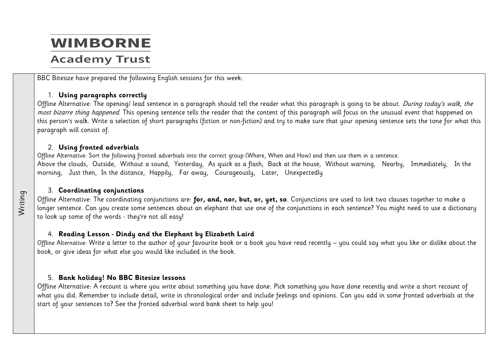### **Academy Trust**

BBC Bitesize have prepared the following English sessions for this week:

#### 1. **Using paragraphs correctly**

Offline Alternative: The opening/ lead sentence in a paragraph should tell the reader what this paragraph is going to be about. During today's walk, the most bizarre thing happened. This opening sentence tells the reader that the content of this paragraph will focus on the unusual event that happened on this person's walk. Write a selection of short paragraphs (fiction or non-fiction) and try to make sure that your opening sentence sets the tone for what this paragraph will consist of.

#### 2. **Using fronted adverbials**

Offline Alternative: Sort the following fronted adverbials into the correct group (Where, When and How) and then use them in a sentence. Above the clouds, Outside, Without a sound, Yesterday, As quick as a flash, Back at the house, Without warning, Nearby, Immediately, In the morning, Just then, In the distance, Happily, Far away, Courageously, Later, Unexpectedly

#### 3. **Coordinating conjunctions**

Writing

Offline Alternative: The coordinating conjunctions are: **for, and, nor, but, or, yet, so**. Conjunctions are used to link two clauses together to make a longer sentence. Can you create some sentences about an elephant that use one of the conjunctions in each sentence? You might need to use a dictionary to look up some of the words - they're not all easy!

#### 4. **Reading Lesson - Dindy and the Elephant by Elizabeth Laird**

Offline Alternative: Write a letter to the author of your favourite book or a book you have read recently – you could say what you like or dislike about the book, or give ideas for what else you would like included in the book.

#### 5. **Bank holiday! No BBC Bitesize lessons**

Offline Alternative: A recount is where you write about something you have done. Pick something you have done recently and write a short recount of what you did. Remember to include detail, write in chronological order and include feelings and opinions. Can you add in some fronted adverbials at the start of your sentences to? See the fronted adverbial word bank sheet to help you!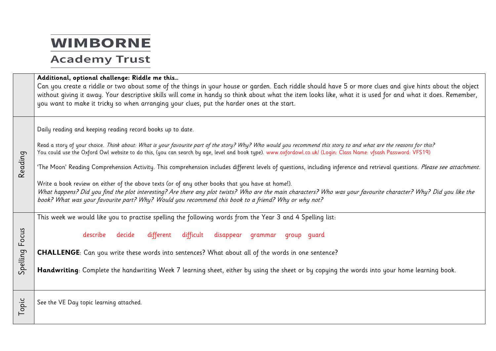### **Academy Trust**

#### **Additional, optional challenge: Riddle me this…**

Can you create a riddle or two about some of the things in your house or garden. Each riddle should have 5 or more clues and give hints about the object without giving it away. Your descriptive skills will come in handy so think about what the item looks like, what it is used for and what it does. Remember, you want to make it tricky so when arranging your clues, put the harder ones at the start.

Daily reading and keeping reading record books up to date.

Read a story of your choice. Think about: What is your favourite part of the story? Why? Who would you recommend this story to and what are the reasons for this? You could use the Oxford Owl website to do this, (you can search by age, level and book type). [www.oxfordowl.co.uk/](http://www.oxfordowl.co.uk/) (Login: Class Name: vfsash Password: VFS19)

'The Moon' Reading Comprehension Activity. This comprehension includes different levels of questions, including inference and retrieval questions. Please see attachment.

Write a book review on either of the above texts (or of any other books that you have at home!). What happens? Did you find the plot interesting? Are there any plot twists? Who are the main characters? Who was your favourite character? Why? Did you like the book? What was your favourite part? Why? Would you recommend this book to a friend? Why or why not?

This week we would like you to practise spelling the following words from the Year 3 and 4 Spelling list:

describe decide different difficult disappear grammar group guard

**CHALLENGE**: Can you write these words into sentences? What about all of the words in one sentence?

Spelling Focus **Handwriting**: Complete the handwriting Week 7 learning sheet, either by using the sheet or by copying the words into your home learning book.

Topic See the VE Day topic learning attached.

Reading

Spelling Focus